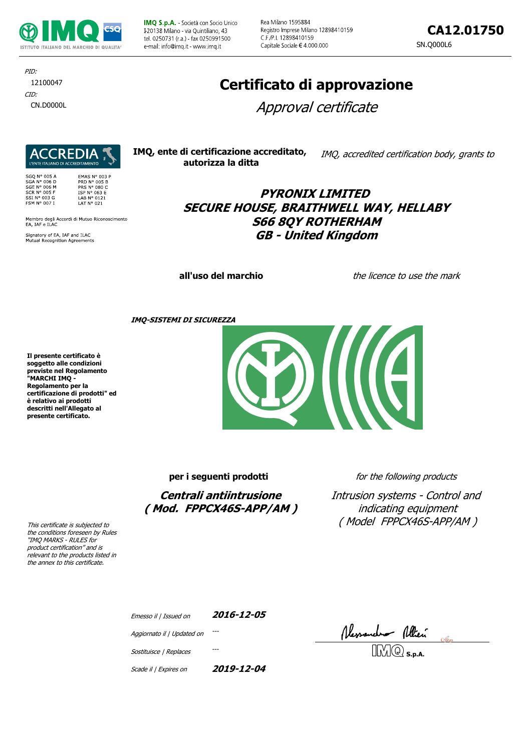

IMQ S.p.A. - Società con Socio Unico I-20138 Milano - via Quintiliano, 43 tel. 0250731 (r.a.) - fax 0250991500 e-mail: info@imq it - www.imq.it

Rea Milano 1595884 Registro Imprese Milano 12898410159 C F /P I 12898410159 Capitale Sociale € 4.000.000

**CA12.01750**

SN.Q000L6

CID: CN.D0000L PID: 12100047

# **REDIA**

003 P

| <b>SGO N° 005 A</b> | EMAS N° 003         |
|---------------------|---------------------|
| <b>SGA N° 006 D</b> | <b>PRD N° 005 B</b> |
| SGE N° 006 M        | <b>PRS N° 080 C</b> |
| $SCR No$ 005 F      | ISP N° 063 E        |
| SSI Nº 003 G        | LAB Nº 0121         |
| <b>FSM N° 007 I</b> | LAT N° 021          |
|                     |                     |

Membro degli Accordi di Mutuo Riconoscimento<br>EA, IAF e ILAC

Signatory of EA, IAF and ILAC<br>Mutual Recognition Agreements

# **Certificato di approvazione**

Approval certificate

**IMQ, ente di certificazione accreditato, autorizza la ditta** IMQ, accredited certification body, grants to

> **PYRONIX LIMITED SECURE HOUSE, BRAITHWELL WAY, HELLABY S66 8QY ROTHERHAM GB - United Kingdom**

**all'uso del marchio** the licence to use the mark

**IMQ-SISTEMI DI SICUREZZA**

**Il presente certificato è soggetto alle condizioni previste nel Regolamento "MARCHI IMQ - Regolamento per la certificazione di prodotti" ed è relativo ai prodotti descritti nell'Allegato al presente certificato.**

**per i seguenti prodotti** *for the following products* 

**Centrali antiintrusione ( Mod. FPPCX46S-APP/AM )**

Intrusion systems - Control and indicating equipment ( Model FPPCX46S-APP/AM )

This certificate is subjected to the conditions foreseen by Rules "IMQ MARKS - RULES for product certification" and is relevant to the products listed in the annex to this certificate.

| Emesso il   Issued on      | 2016-12-05 |
|----------------------------|------------|
| Aggiornato il   Updated on |            |
| Sostituisce   Replaces     |            |
|                            |            |

Ressaude<del>s</del> Allien

Scade il | Expires on **2019-12-04**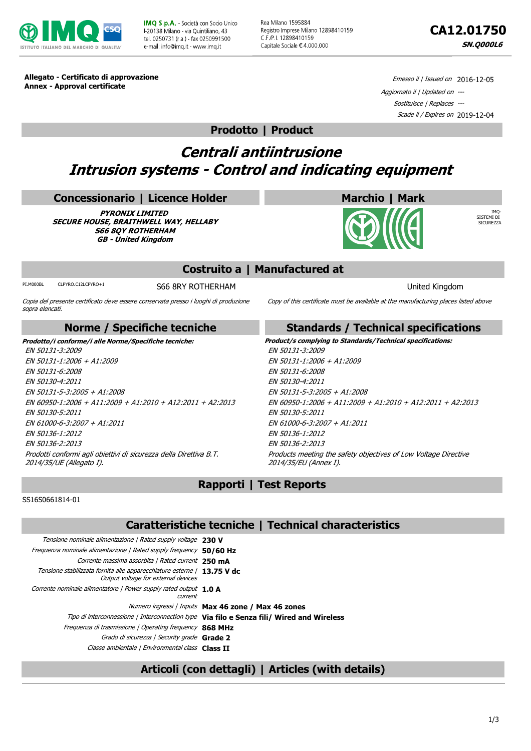

**IMO S.p.A.** - Società con Socio Unico L20138 Milano - via Quintiliano, 43 tel. 0250731 (r.a.) - fax 0250991500 e-mail: info@imq it - www.imq it

Rea Milano 1595884 Registro Imprese Milano 12898410159 C.F./P.I. 12898410159 Capitale Sociale € 4.000.000



IMQ-SISTEMI DI SICUREZZA

**Allegato - Certificato di approvazione Annex - Approval certificate**

Emesso il / Issued on 2016-12-05 Aggiornato il | Updated on --- Sostituisce | Replaces --- Scade il / Expires on 2019-12-04

### **Prodotto | Product**

# **Centrali antiintrusione Intrusion systems - Control and indicating equipment**

#### **Concessionario | Licence Holder**

**PYRONIX LIMITED SECURE HOUSE, BRAITHWELL WAY, HELLABY S66 8QY ROTHERHAM GB - United Kingdom**

### **Costruito a | Manufactured at**

PI.M000BL CLPYRO.C12LCPYRO+1 S66 8RY ROTHERHAM SOLUTION SOLUTION United Kingdom

Copia del presente certificato deve essere conservata presso i luoghi di produzione sopra elencati.

#### **Norme / Specifiche tecniche**

EN 50131-3:2009 EN 50131-1:2006 + A1:2009 EN 50131-6:2008 EN 50130-4:2011 EN 50131-5-3:2005 + A1:2008 EN 60950-1:2006 + A11:2009 + A1:2010 + A12:2011 + A2:2013 EN 50130-5:2011 EN 61000-6-3:2007 + A1:2011 EN 50136-1:2012 EN 50136-2:2013 Prodotti conformi agli obiettivi di sicurezza della Direttiva B.T. 2014/35/UE (Allegato I).

**Standards / Technical specifications Prodotto/i conforme/i alle Norme/Specifiche tecniche: Product/s complying to Standards/Technical specifications:** EN 50131-3:2009 EN 50131-1:2006 + A1:2009 EN 50131-6:2008 EN 50130-4:2011 EN 50131-5-3:2005 + A1:2008 EN 60950-1:2006 + A11:2009 + A1:2010 + A12:2011 + A2:2013 EN 50130-5:2011 EN 61000-6-3:2007 + A1:2011 EN 50136-1:2012 EN 50136-2:2013 Products meeting the safety objectives of Low Voltage Directive 2014/35/EU (Annex I).

Copy of this certificate must be available at the manufacturing places listed above

**Marchio | Mark**

# **Rapporti | Test Reports**

SS16S0661814-01

#### **Caratteristiche tecniche | Technical characteristics**

| Tensione nominale alimentazione   Rated supply voltage 230 V                                                   |                                                                                           |
|----------------------------------------------------------------------------------------------------------------|-------------------------------------------------------------------------------------------|
| Frequenza nominale alimentazione   Rated supply frequency 50/60 Hz                                             |                                                                                           |
| Corrente massima assorbita   Rated current 250 mA                                                              |                                                                                           |
| Tensione stabilizzata fornita alle apparecchiature esterne   13.75 V dc<br>Output voltage for external devices |                                                                                           |
| Corrente nominale alimentatore   Power supply rated output 1.0 A<br>current                                    |                                                                                           |
|                                                                                                                | Numero ingressi / Inputs Max 46 zone / Max 46 zones                                       |
|                                                                                                                | Tipo di interconnessione / Interconnection type Via filo e Senza fili/ Wired and Wireless |
| Frequenza di trasmissione   Operating frequency 868 MHz                                                        |                                                                                           |
| Grado di sicurezza   Security grade Grade 2                                                                    |                                                                                           |
| Classe ambientale   Environmental class Class II                                                               |                                                                                           |

# **Articoli (con dettagli) | Articles (with details)**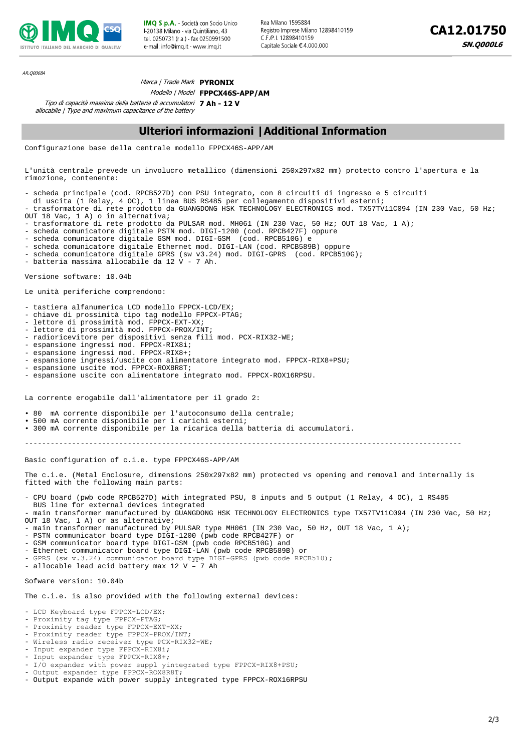

**IMO S.p.A.** - Società con Socio Unico L20138 Milano - via Quintiliano, 43 tel 0250731 (r a) fax 0250991500 e-mail: info@imq it - www.imq.it

Rea Milano 1595884 Registro Imprese Milano 12898410159 C F /P1 12898410159 Capitale Sociale € 4.000.000

AR.Q0068A

#### Marca | Trade Mark **PYRONIX**

Modello | Model **FPPCX46S-APP/AM**

Tipo di capacità massima della batteria di accumulatori **7 Ah - 12 V** allocabile | Type and maximum capacitance of the battery

#### **Ulteriori informazioni |Additional Information**

Configurazione base della centrale modello FPPCX46S-APP/AM

L'unità centrale prevede un involucro metallico (dimensioni 250x297x82 mm) protetto contro l'apertura e la rimozione, contenente:

- scheda principale (cod. RPCB527D) con PSU integrato, con 8 circuiti di ingresso e 5 circuiti

- di uscita (1 Relay, 4 OC), 1 linea BUS RS485 per collegamento dispositivi esterni;
- trasformatore di rete prodotto da GUANGDONG HSK TECHNOLOGY ELECTRONICS mod. TX57TV11C094 (IN 230 Vac, 50 Hz; OUT 18 Vac, 1 A) o in alternativa;

- trasformatore di rete prodotto da PULSAR mod. MH061 (IN 230 Vac, 50 Hz; OUT 18 Vac, 1 A);

- scheda comunicatore digitale PSTN mod. DIGI-1200 (cod. RPCB427F) oppure

- scheda comunicatore digitale GSM mod. DIGI-GSM (cod. RPCB510G) e

- scheda comunicatore digitale Ethernet mod. DIGI-LAN (cod. RPCB589B) oppure
- scheda comunicatore digitale GPRS (sw v3.24) mod. DIGI-GPRS (cod. RPCB510G);
- batteria massima allocabile da 12 V 7 Ah.

Versione software: 10.04b

Le unità periferiche comprendono:

- tastiera alfanumerica LCD modello FPPCX-LCD/EX;
- chiave di prossimità tipo tag modello FPPCX-PTAG;
- lettore di prossimità mod. FPPCX-EXT-XX;
- lettore di prossimità mod. FPPCX-PROX/INT;
- radioricevitore per dispositivi senza fili mod. PCX-RIX32-WE;
- espansione ingressi mod. FPPCX-RIX8i;
- espansione ingressi mod. FPPCX-RIX8+;
- espansione ingressi/uscite con alimentatore integrato mod. FPPCX-RIX8+PSU;
- espansione uscite mod. FPPCX-ROX8R8T;
- espansione uscite con alimentatore integrato mod. FPPCX-ROX16RPSU.

La corrente erogabile dall'alimentatore per il grado 2:

- 80 mA corrente disponibile per l'autoconsumo della centrale;
- 500 mA corrente disponibile per i carichi esterni;
- 300 mA corrente disponibile per la ricarica della batteria di accumulatori.

------------------------------------------------------------------------------------------------------

Basic configuration of c.i.e. type FPPCX46S-APP/AM

The c.i.e. (Metal Enclosure, dimensions 250x297x82 mm) protected vs opening and removal and internally is fitted with the following main parts:

- CPU board (pwb code RPCB527D) with integrated PSU, 8 inputs and 5 output (1 Relay, 4 OC), 1 RS485

 BUS line for external devices integrated - main transformer manufactured by GUANGDONG HSK TECHNOLOGY ELECTRONICS type TX57TV11C094 (IN 230 Vac, 50 Hz; OUT 18 Vac, 1 A) or as alternative;

- main transformer manufactured by PULSAR type MH061 (IN 230 Vac, 50 Hz, OUT 18 Vac, 1 A);
- PSTN communicator board type DIGI-1200 (pwb code RPCB427F) or
- GSM communicator board type DIGI-GSM (pwb code RPCB510G) and
- Ethernet communicator board type DIGI-LAN (pwb code RPCB589B) or
- GPRS (sw v.3.24) communicator board type DIGI-GPRS (pwb code RPCB510);
- allocable lead acid battery max 12 V 7 Ah

Sofware version: 10.04b

The c.i.e. is also provided with the following external devices:

- LCD Keyboard type FPPCX-LCD/EX;
- Proximity tag type FPPCX-PTAG;
- Proximity reader type FPPCX-EXT-XX;
- Proximity reader type FPPCX-PROX/INT;
- Wireless radio receiver type PCX-RIX32-WE;
- Input expander type FPPCX-RIX8i;
- Input expander type FPPCX-RIX8+;
- I/O expander with power suppl yintegrated type FPPCX-RIX8+PSU;
- Output expander type FPPCX-ROX8R8T;
- Output expande with power supply integrated type FPPCX-ROX16RPSU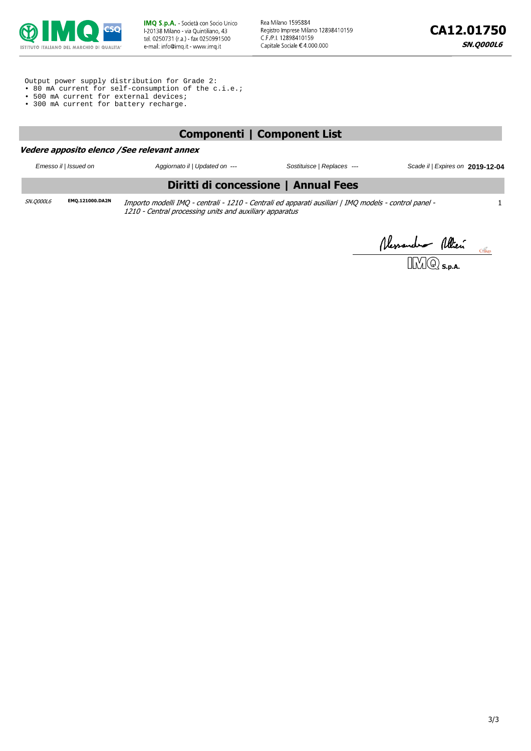

Rea Milano 1595884 Registro Imprese Milano 12898410159 C.F./P.I. 12898410159 Capitale Sociale €4 000.000

Output power supply distribution for Grade 2:

- 80 mA current for self-consumption of the c.i.e.;
- 500 mA current for external devices;
- 300 mA current for battery recharge.

#### **Componenti | Component List**

#### **Vedere apposito elenco /See relevant annex**

Emesso il | Issued on Aggiornato il | Updated on --- Sostituisce | Replaces --- Scade il | Expires on **2019-12-04**

1

#### **Diritti di concessione | Annual Fees**

SN.Q000L6 **EMQ.121000.DA2N** Importo modelli IMQ - centrali - 1210 - Centrali ed apparati ausiliari | IMQ models - control panel - 1210 - Central processing units and auxiliary apparatus

*Messandre Mien 18*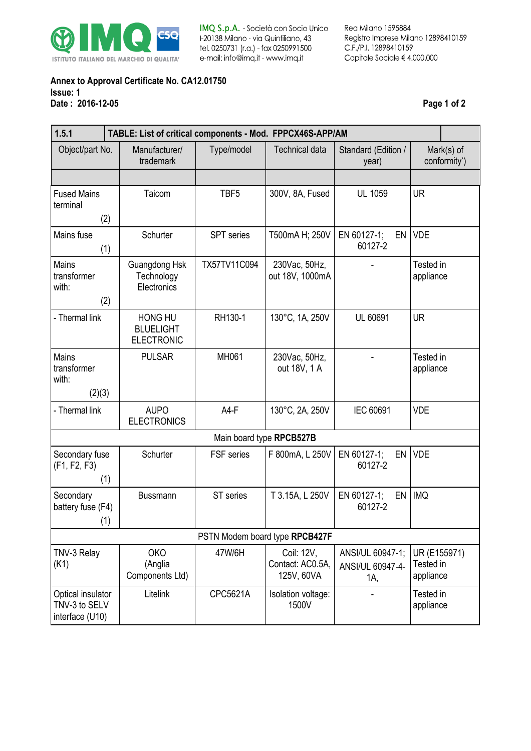

IMQ S.p.A. - Società con Socio Unico I-20138 Milano - via Quintiliano, 43 tel. 0250731 (r.a.) - fax 0250991500 e-mail: info@imq.it - www.imq.it

Rea Milano 1595884 Registro Imprese Milano 12898410159 C.F./P.I. 12898410159 Capitale Sociale  $\in$  4.000.000

#### **Annex to Approval Certificate No. CA12.01750 Issue: 1 Date : 2016-12-05 Page 1 of 2**

| 1.5.1                                                 | TABLE: List of critical components - Mod. FPPCX46S-APP/AM |                   |                                              |                                             |                                        |  |  |
|-------------------------------------------------------|-----------------------------------------------------------|-------------------|----------------------------------------------|---------------------------------------------|----------------------------------------|--|--|
| Object/part No.                                       | Manufacturer/<br>trademark                                | Type/model        | <b>Technical data</b>                        | Standard (Edition /<br>year)                | $Mark(s)$ of<br>conformity*)           |  |  |
|                                                       |                                                           |                   |                                              |                                             |                                        |  |  |
| <b>Fused Mains</b><br>terminal<br>(2)                 | Taicom                                                    | TBF <sub>5</sub>  | 300V, 8A, Fused                              | <b>UL 1059</b>                              | <b>UR</b>                              |  |  |
| Mains fuse<br>(1)                                     | Schurter                                                  | <b>SPT</b> series | T500mA H; 250V                               | EN 60127-1;<br>EN<br>60127-2                | <b>VDE</b>                             |  |  |
| Mains<br>transformer<br>with:<br>(2)                  | Guangdong Hsk<br>Technology<br>Electronics                | TX57TV11C094      | 230Vac, 50Hz,<br>out 18V, 1000mA             |                                             | Tested in<br>appliance                 |  |  |
| - Thermal link                                        | <b>HONG HU</b><br><b>BLUELIGHT</b><br><b>ELECTRONIC</b>   | RH130-1           | 130°C, 1A, 250V                              | UL 60691                                    | <b>UR</b>                              |  |  |
| Mains<br>transformer<br>with:<br>(2)(3)               | <b>PULSAR</b>                                             | MH061             | 230Vac, 50Hz,<br>out 18V, 1 A                |                                             | Tested in<br>appliance                 |  |  |
| - Thermal link                                        | <b>AUPO</b><br><b>ELECTRONICS</b>                         | $A4-F$            | 130°C, 2A, 250V                              | IEC 60691                                   | <b>VDE</b>                             |  |  |
| Main board type RPCB527B                              |                                                           |                   |                                              |                                             |                                        |  |  |
| Secondary fuse<br>(F1, F2, F3)<br>(1)                 | Schurter                                                  | FSF series        | F 800mA, L 250V                              | EN 60127-1;<br>EN<br>60127-2                | <b>VDE</b>                             |  |  |
| Secondary<br>battery fuse (F4)<br>(1)                 | <b>Bussmann</b>                                           | ST series         | T 3.15A, L 250V                              | EN 60127-1;<br>EN<br>60127-2                | <b>IMQ</b>                             |  |  |
| PSTN Modem board type RPCB427F                        |                                                           |                   |                                              |                                             |                                        |  |  |
| TNV-3 Relay<br>(K1)                                   | <b>OKO</b><br>(Anglia<br>Components Ltd)                  | 47W/6H            | Coil: 12V,<br>Contact: AC0.5A,<br>125V, 60VA | ANSI/UL 60947-1;<br>ANSI/UL 60947-4-<br>1A, | UR (E155971)<br>Tested in<br>appliance |  |  |
| Optical insulator<br>TNV-3 to SELV<br>interface (U10) | Litelink                                                  | CPC5621A          | Isolation voltage:<br>1500V                  |                                             | Tested in<br>appliance                 |  |  |